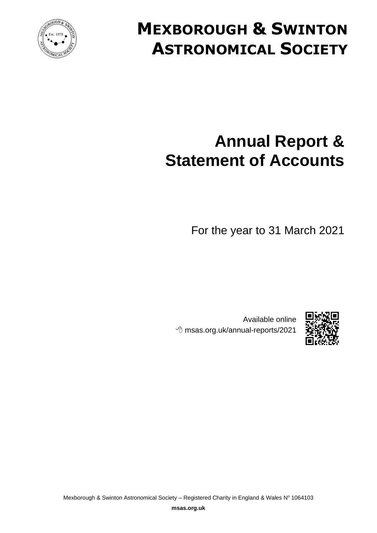

# **MEXBOROUGH & SWINTON ASTRONOMICAL SOCIETY**

# **Annual Report & Statement of Accounts**

For the year to 31 March 2021



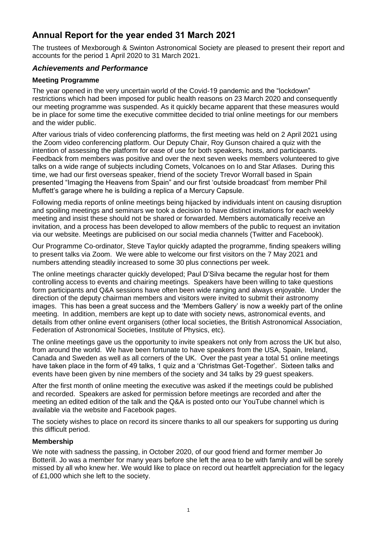# <span id="page-4-0"></span>**Annual Report for the year ended 31 March 2021**

The trustees of Mexborough & Swinton Astronomical Society are pleased to present their report and accounts for the period 1 April 2020 to 31 March 2021.

# <span id="page-4-1"></span>*Achievements and Performance*

## <span id="page-4-2"></span>**Meeting Programme**

The year opened in the very uncertain world of the Covid-19 pandemic and the "lockdown" restrictions which had been imposed for public health reasons on 23 March 2020 and consequently our meeting programme was suspended. As it quickly became apparent that these measures would be in place for some time the executive committee decided to trial online meetings for our members and the wider public.

After various trials of video conferencing platforms, the first meeting was held on 2 April 2021 using the Zoom video conferencing platform. Our Deputy Chair, Roy Gunson chaired a quiz with the intention of assessing the platform for ease of use for both speakers, hosts, and participants. Feedback from members was positive and over the next seven weeks members volunteered to give talks on a wide range of subjects including Comets, Volcanoes on Io and Star Atlases. During this time, we had our first overseas speaker, friend of the society Trevor Worrall based in Spain presented "Imaging the Heavens from Spain" and our first 'outside broadcast' from member Phil Muffett's garage where he is building a replica of a Mercury Capsule.

Following media reports of online meetings being hijacked by individuals intent on causing disruption and spoiling meetings and seminars we took a decision to have distinct invitations for each weekly meeting and insist these should not be shared or forwarded. Members automatically receive an invitation, and a process has been developed to allow members of the public to request an invitation via our website. Meetings are publicised on our social media channels (Twitter and Facebook).

Our Programme Co-ordinator, Steve Taylor quickly adapted the programme, finding speakers willing to present talks via Zoom. We were able to welcome our first visitors on the 7 May 2021 and numbers attending steadily increased to some 30 plus connections per week.

The online meetings character quickly developed; Paul D'Silva became the regular host for them controlling access to events and chairing meetings. Speakers have been willing to take questions form participants and Q&A sessions have often been wide ranging and always enjoyable. Under the direction of the deputy chairman members and visitors were invited to submit their astronomy images. This has been a great success and the 'Members Gallery' is now a weekly part of the online meeting. In addition, members are kept up to date with society news, astronomical events, and details from other online event organisers (other local societies, the British Astronomical Association, Federation of Astronomical Societies, Institute of Physics, etc).

The online meetings gave us the opportunity to invite speakers not only from across the UK but also, from around the world. We have been fortunate to have speakers from the USA, Spain, Ireland, Canada and Sweden as well as all corners of the UK. Over the past year a total 51 online meetings have taken place in the form of 49 talks, 1 quiz and a 'Christmas Get-Together'. Sixteen talks and events have been given by nine members of the society and 34 talks by 29 guest speakers.

After the first month of online meeting the executive was asked if the meetings could be published and recorded. Speakers are asked for permission before meetings are recorded and after the meeting an edited edition of the talk and the Q&A is posted onto our YouTube channel which is available via the website and Facebook pages.

The society wishes to place on record its sincere thanks to all our speakers for supporting us during this difficult period.

# <span id="page-4-3"></span>**Membership**

<span id="page-4-4"></span>We note with sadness the passing, in October 2020, of our good friend and former member Jo Botterill. Jo was a member for many years before she left the area to be with family and will be sorely missed by all who knew her. We would like to place on record out heartfelt appreciation for the legacy of £1,000 which she left to the society.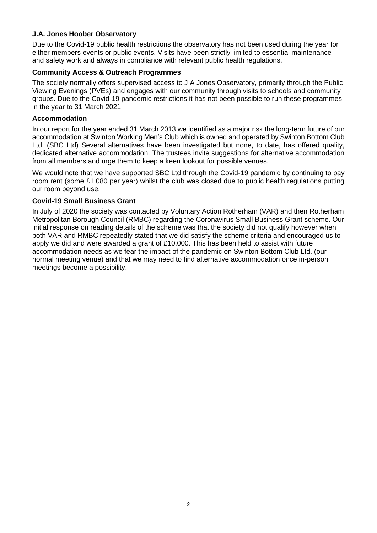## **J.A. Jones Hoober Observatory**

Due to the Covid-19 public health restrictions the observatory has not been used during the year for either members events or public events. Visits have been strictly limited to essential maintenance and safety work and always in compliance with relevant public health regulations.

#### **Community Access & Outreach Programmes**

The society normally offers supervised access to J A Jones Observatory, primarily through the Public Viewing Evenings (PVEs) and engages with our community through visits to schools and community groups. Due to the Covid-19 pandemic restrictions it has not been possible to run these programmes in the year to 31 March 2021.

#### <span id="page-5-0"></span>**Accommodation**

In our report for the year ended 31 March 2013 we identified as a major risk the long-term future of our accommodation at Swinton Working Men's Club which is owned and operated by Swinton Bottom Club Ltd. (SBC Ltd) Several alternatives have been investigated but none, to date, has offered quality, dedicated alternative accommodation. The trustees invite suggestions for alternative accommodation from all members and urge them to keep a keen lookout for possible venues.

We would note that we have supported SBC Ltd through the Covid-19 pandemic by continuing to pay room rent (some £1,080 per year) whilst the club was closed due to public health regulations putting our room beyond use.

#### <span id="page-5-1"></span>**Covid-19 Small Business Grant**

In July of 2020 the society was contacted by Voluntary Action Rotherham (VAR) and then Rotherham Metropolitan Borough Council (RMBC) regarding the Coronavirus Small Business Grant scheme. Our initial response on reading details of the scheme was that the society did not qualify however when both VAR and RMBC repeatedly stated that we did satisfy the scheme criteria and encouraged us to apply we did and were awarded a grant of  $£10,000$ . This has been held to assist with future accommodation needs as we fear the impact of the pandemic on Swinton Bottom Club Ltd. (our normal meeting venue) and that we may need to find alternative accommodation once in-person meetings become a possibility.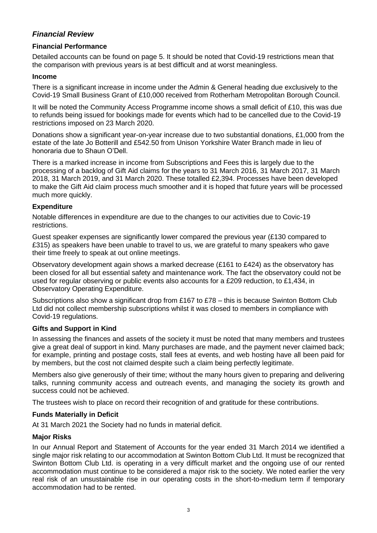# <span id="page-6-0"></span>*Financial Review*

## <span id="page-6-1"></span>**Financial Performance**

Detailed accounts can be found on page [5.](#page-8-0) It should be noted that Covid-19 restrictions mean that the comparison with previous years is at best difficult and at worst meaningless.

#### <span id="page-6-2"></span>**Income**

There is a significant increase in income under the Admin & General heading due exclusively to the Covid-19 Small Business Grant of £10,000 received from Rotherham Metropolitan Borough Council.

It will be noted the Community Access Programme income shows a small deficit of £10, this was due to refunds being issued for bookings made for events which had to be cancelled due to the Covid-19 restrictions imposed on 23 March 2020.

Donations show a significant year-on-year increase due to two substantial donations, £1,000 from the estate of the late Jo Botterill and £542.50 from Unison Yorkshire Water Branch made in lieu of honoraria due to Shaun O'Dell.

There is a marked increase in income from Subscriptions and Fees this is largely due to the processing of a backlog of Gift Aid claims for the years to 31 March 2016, 31 March 2017, 31 March 2018, 31 March 2019, and 31 March 2020. These totalled £2,394. Processes have been developed to make the Gift Aid claim process much smoother and it is hoped that future years will be processed much more quickly.

#### <span id="page-6-3"></span>**Expenditure**

Notable differences in expenditure are due to the changes to our activities due to Covic-19 restrictions.

Guest speaker expenses are significantly lower compared the previous year (£130 compared to £315) as speakers have been unable to travel to us, we are grateful to many speakers who gave their time freely to speak at out online meetings.

Observatory development again shows a marked decrease (£161 to £424) as the observatory has been closed for all but essential safety and maintenance work. The fact the observatory could not be used for regular observing or public events also accounts for a £209 reduction, to £1,434, in Observatory Operating Expenditure.

Subscriptions also show a significant drop from £167 to £78 – this is because Swinton Bottom Club Ltd did not collect membership subscriptions whilst it was closed to members in compliance with Covid-19 regulations.

#### <span id="page-6-4"></span>**Gifts and Support in Kind**

In assessing the finances and assets of the society it must be noted that many members and trustees give a great deal of support in kind. Many purchases are made, and the payment never claimed back; for example, printing and postage costs, stall fees at events, and web hosting have all been paid for by members, but the cost not claimed despite such a claim being perfectly legitimate.

Members also give generously of their time; without the many hours given to preparing and delivering talks, running community access and outreach events, and managing the society its growth and success could not be achieved.

The trustees wish to place on record their recognition of and gratitude for these contributions.

#### <span id="page-6-5"></span>**Funds Materially in Deficit**

At 31 March 2021 the Society had no funds in material deficit.

#### <span id="page-6-6"></span>**Major Risks**

In our Annual Report and Statement of Accounts for the year ended 31 March 2014 we identified a single major risk relating to our accommodation at Swinton Bottom Club Ltd. It must be recognized that Swinton Bottom Club Ltd. is operating in a very difficult market and the ongoing use of our rented accommodation must continue to be considered a major risk to the society. We noted earlier the very real risk of an unsustainable rise in our operating costs in the short-to-medium term if temporary accommodation had to be rented.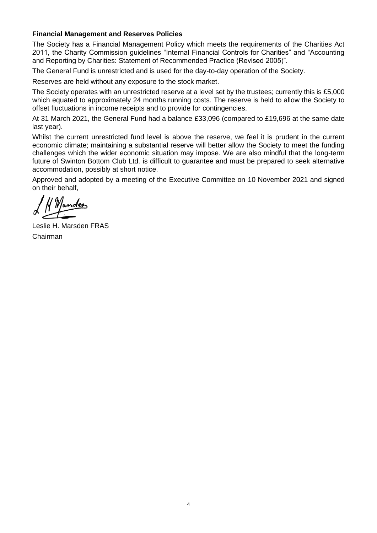## <span id="page-7-0"></span>**Financial Management and Reserves Policies**

The Society has a Financial Management Policy which meets the requirements of the Charities Act 2011, the Charity Commission guidelines "Internal Financial Controls for Charities" and "Accounting and Reporting by Charities: Statement of Recommended Practice (Revised 2005)".

The General Fund is unrestricted and is used for the day-to-day operation of the Society.

Reserves are held without any exposure to the stock market.

The Society operates with an unrestricted reserve at a level set by the trustees; currently this is £5,000 which equated to approximately 24 months running costs. The reserve is held to allow the Society to offset fluctuations in income receipts and to provide for contingencies.

At 31 March 2021, the General Fund had a balance £33,096 (compared to £19,696 at the same date last year).

Whilst the current unrestricted fund level is above the reserve, we feel it is prudent in the current economic climate; maintaining a substantial reserve will better allow the Society to meet the funding challenges which the wider economic situation may impose. We are also mindful that the long-term future of Swinton Bottom Club Ltd. is difficult to guarantee and must be prepared to seek alternative accommodation, possibly at short notice.

Approved and adopted by a meeting of the Executive Committee on 10 November 2021 and signed on their behalf,

Leslie H. Marsden FRAS Chairman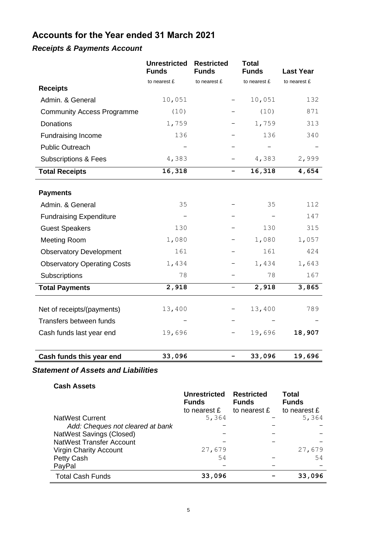# <span id="page-8-0"></span>**Accounts for the Year ended 31 March 2021**

# <span id="page-8-1"></span>*Receipts & Payments Account*

|                                    | <b>Unrestricted</b><br><b>Funds</b> | <b>Restricted</b><br><b>Funds</b> | <b>Total</b><br><b>Funds</b> | <b>Last Year</b> |
|------------------------------------|-------------------------------------|-----------------------------------|------------------------------|------------------|
|                                    | to nearest £                        | to nearest £                      | to nearest £                 | to nearest £     |
| <b>Receipts</b>                    |                                     |                                   |                              |                  |
| Admin. & General                   | 10,051                              |                                   | 10,051                       | 132              |
| <b>Community Access Programme</b>  | (10)                                |                                   | (10)                         | 871              |
| <b>Donations</b>                   | 1,759                               |                                   | 1,759                        | 313              |
| <b>Fundraising Income</b>          | 136                                 |                                   | 136                          | 340              |
| <b>Public Outreach</b>             |                                     |                                   |                              |                  |
| <b>Subscriptions &amp; Fees</b>    | 4,383                               |                                   | 4,383                        | 2,999            |
| <b>Total Receipts</b>              | 16,318                              | $\qquad \qquad -$                 | 16,318                       | 4,654            |
| <b>Payments</b>                    |                                     |                                   |                              |                  |
| Admin. & General                   | 35                                  |                                   | 35                           | 112              |
| <b>Fundraising Expenditure</b>     |                                     |                                   |                              | 147              |
| <b>Guest Speakers</b>              | 130                                 |                                   | 130                          | 315              |
| <b>Meeting Room</b>                | 1,080                               |                                   | 1,080                        | 1,057            |
| <b>Observatory Development</b>     | 161                                 |                                   | 161                          | 424              |
| <b>Observatory Operating Costs</b> | 1,434                               |                                   | 1,434                        | 1,643            |
| Subscriptions                      | 78                                  |                                   | 78                           | 167              |
| <b>Total Payments</b>              | 2,918                               | -                                 | 2,918                        | 3,865            |
|                                    |                                     |                                   |                              |                  |
| Net of receipts/(payments)         | 13,400                              |                                   | 13,400                       | 789              |
| Transfers between funds            |                                     |                                   |                              |                  |
| Cash funds last year end           | 19,696                              |                                   | 19,696                       | 18,907           |
|                                    |                                     |                                   |                              |                  |
| Cash funds this year end           | 33,096                              | -                                 | 33,096                       | 19,696           |

# <span id="page-8-2"></span>*Statement of Assets and Liabilities*

**Cash Assets** 

|                                  | <b>Unrestricted</b><br><b>Funds</b> | <b>Restricted</b><br><b>Funds</b> | <b>Total</b><br><b>Funds</b> |
|----------------------------------|-------------------------------------|-----------------------------------|------------------------------|
|                                  | to nearest £                        | to nearest £                      | to nearest £                 |
| <b>NatWest Current</b>           | 5,364                               |                                   | 5,364                        |
| Add: Cheques not cleared at bank |                                     |                                   |                              |
| NatWest Savings (Closed)         |                                     |                                   |                              |
| <b>NatWest Transfer Account</b>  |                                     |                                   |                              |
| Virgin Charity Account           | 27,679                              |                                   | 27,679                       |
| Petty Cash                       | 54                                  |                                   | 54                           |
| PayPal                           |                                     |                                   |                              |
| <b>Total Cash Funds</b>          | 33,096                              |                                   | 33,096                       |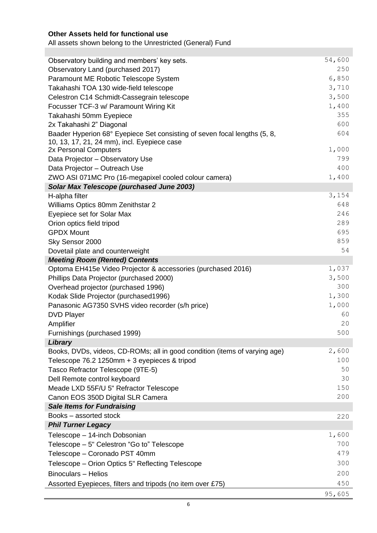# **Other Assets held for functional use**

All assets shown belong to the Unrestricted (General) Fund

| Focusser TCF-3 w/ Paramount Wiring Kit                                     | 1,400        |
|----------------------------------------------------------------------------|--------------|
|                                                                            | 355          |
| Takahashi 50mm Eyepiece<br>2x Takahashi 2" Diagonal                        | 600          |
| Baader Hyperion 68° Eyepiece Set consisting of seven focal lengths (5, 8,  | 604          |
| 10, 13, 17, 21, 24 mm), incl. Eyepiece case                                |              |
| 2x Personal Computers                                                      | 1,000        |
| Data Projector - Observatory Use                                           | 799          |
| Data Projector - Outreach Use                                              | 400          |
| ZWO ASI 071MC Pro (16-megapixel cooled colour camera)                      | 1,400        |
| <b>Solar Max Telescope (purchased June 2003)</b>                           |              |
| H-alpha filter                                                             | 3,154<br>648 |
| Williams Optics 80mm Zenithstar 2                                          | 246          |
| Eyepiece set for Solar Max<br>Orion optics field tripod                    | 289          |
| <b>GPDX Mount</b>                                                          | 695          |
| Sky Sensor 2000                                                            | 859          |
| Dovetail plate and counterweight                                           | 54           |
| <b>Meeting Room (Rented) Contents</b>                                      |              |
| Optoma EH415e Video Projector & accessories (purchased 2016)               | 1,037        |
| Phillips Data Projector (purchased 2000)                                   | 3,500        |
| Overhead projector (purchased 1996)                                        | 300          |
| Kodak Slide Projector (purchased1996)                                      | 1,300        |
| Panasonic AG7350 SVHS video recorder (s/h price)                           | 1,000        |
| <b>DVD Player</b>                                                          | 60<br>20     |
| Amplifier                                                                  | 500          |
| Furnishings (purchased 1999)<br>Library                                    |              |
| Books, DVDs, videos, CD-ROMs; all in good condition (items of varying age) | 2,600        |
| Telescope 76.2 1250mm + 3 eyepieces & tripod                               | 100          |
| Tasco Refractor Telescope (9TE-5)                                          | 50           |
| Dell Remote control keyboard                                               | 30           |
| Meade LXD 55F/U 5" Refractor Telescope                                     | 150          |
| Canon EOS 350D Digital SLR Camera                                          | 200          |
| <b>Sale Items for Fundraising</b>                                          |              |
| Books - assorted stock                                                     | 220          |
| <b>Phil Turner Legacy</b>                                                  |              |
| Telescope - 14-inch Dobsonian                                              | 1,600        |
| Telescope – 5" Celestron "Go to" Telescope                                 | 700          |
| Telescope - Coronado PST 40mm                                              | 479          |
| Telescope - Orion Optics 5" Reflecting Telescope                           | 300          |
| Binoculars - Helios                                                        | 200          |
| Assorted Eyepieces, filters and tripods (no item over £75)                 | 450          |
|                                                                            | 95,605       |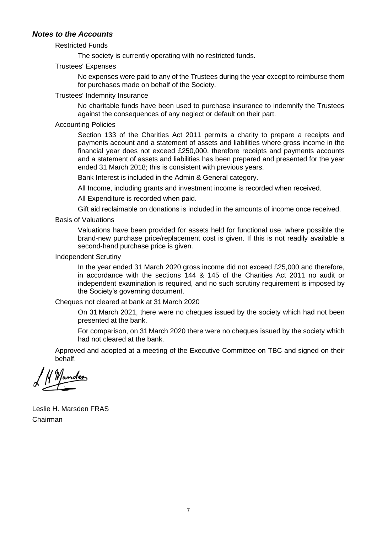#### <span id="page-10-0"></span>*Notes to the Accounts*

#### Restricted Funds

The society is currently operating with no restricted funds.

#### Trustees' Expenses

No expenses were paid to any of the Trustees during the year except to reimburse them for purchases made on behalf of the Society.

#### Trustees' Indemnity Insurance

No charitable funds have been used to purchase insurance to indemnify the Trustees against the consequences of any neglect or default on their part.

#### Accounting Policies

Section 133 of the Charities Act 2011 permits a charity to prepare a receipts and payments account and a statement of assets and liabilities where gross income in the financial year does not exceed £250,000, therefore receipts and payments accounts and a statement of assets and liabilities has been prepared and presented for the year ended 31 March 2018; this is consistent with previous years.

Bank Interest is included in the Admin & General category.

All Income, including grants and investment income is recorded when received.

All Expenditure is recorded when paid.

Gift aid reclaimable on donations is included in the amounts of income once received.

Basis of Valuations

Valuations have been provided for assets held for functional use, where possible the brand-new purchase price/replacement cost is given. If this is not readily available a second-hand purchase price is given.

#### Independent Scrutiny

In the year ended 31 March 2020 gross income did not exceed £25,000 and therefore, in accordance with the sections 144 & 145 of the Charities Act 2011 no audit or independent examination is required, and no such scrutiny requirement is imposed by the Society's governing document.

Cheques not cleared at bank at 31 March 2020

On 31 March 2021, there were no cheques issued by the society which had not been presented at the bank.

For comparison, on 31 March 2020 there were no cheques issued by the society which had not cleared at the bank.

Approved and adopted at a meeting of the Executive Committee on TBC and signed on their behalf.

H Mander

Leslie H. Marsden FRAS Chairman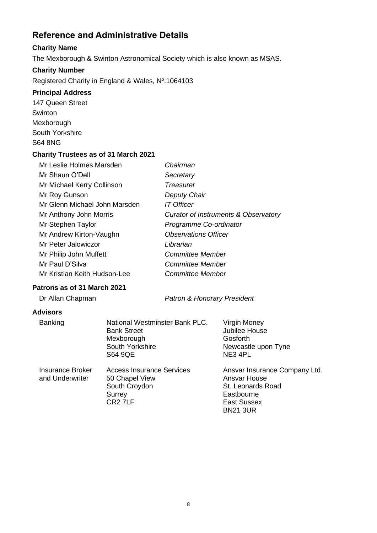# <span id="page-11-0"></span>**Reference and Administrative Details**

# <span id="page-11-1"></span>**Charity Name**

The Mexborough & Swinton Astronomical Society which is also known as MSAS.

# <span id="page-11-2"></span>**Charity Number**

Registered Charity in England & Wales, Nº.1064103

# <span id="page-11-3"></span>**Principal Address**

147 Queen Street **Swinton** Mexborough South Yorkshire S64 8NG

## <span id="page-11-4"></span>**Charity Trustees as of 31 March 2021**

| Mr Leslie Holmes Marsden      | Chairman                                        |
|-------------------------------|-------------------------------------------------|
| Mr Shaun O'Dell               | Secretary                                       |
| Mr Michael Kerry Collinson    | Treasurer                                       |
| Mr Roy Gunson                 | Deputy Chair                                    |
| Mr Glenn Michael John Marsden | <b>IT Officer</b>                               |
| Mr Anthony John Morris        | <b>Curator of Instruments &amp; Observatory</b> |
| Mr Stephen Taylor             | Programme Co-ordinator                          |
| Mr Andrew Kirton-Vaughn       | <b>Observations Officer</b>                     |
| Mr Peter Jalowiczor           | Librarian                                       |
| Mr Philip John Muffett        | <b>Committee Member</b>                         |
| Mr Paul D'Silva               | Committee Member                                |
| Mr Kristian Keith Hudson-Lee  | Committee Member                                |

# <span id="page-11-5"></span>**Patrons as of 31 March 2021**

Dr Allan Chapman *Patron & Honorary President*

# <span id="page-11-6"></span>**Advisors**

| <b>Banking</b>                      | National Westminster Bank PLC.<br><b>Bank Street</b><br>Mexborough<br>South Yorkshire<br><b>S64 9QE</b> | Virgin Money<br>Jubilee House<br>Gosforth<br>Newcastle upon Tyne<br>NE3 4PL                                               |
|-------------------------------------|---------------------------------------------------------------------------------------------------------|---------------------------------------------------------------------------------------------------------------------------|
| Insurance Broker<br>and Underwriter | <b>Access Insurance Services</b><br>50 Chapel View<br>South Croydon<br>Surrey<br>CR <sub>2</sub> 7LF    | Ansvar Insurance Company Ltd.<br>Ansvar House<br>St. Leonards Road<br>Eastbourne<br><b>East Sussex</b><br><b>BN21 3UR</b> |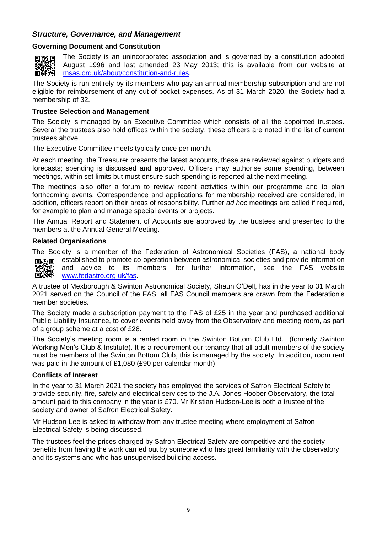## <span id="page-12-0"></span>*Structure, Governance, and Management*

#### <span id="page-12-1"></span>**Governing Document and Constitution**



The Society is an unincorporated association and is governed by a constitution adopted August 1996 and last amended 23 May 2013; this is available from our website at [msas.org.uk/about/constitution-and-rules.](https://msas.org.uk/about/constitution-and-rules)

The Society is run entirely by its members who pay an annual membership subscription and are not eligible for reimbursement of any out-of-pocket expenses. As of 31 March 2020, the Society had a membership of 32.

#### <span id="page-12-2"></span>**Trustee Selection and Management**

The Society is managed by an Executive Committee which consists of all the appointed trustees. Several the trustees also hold offices within the society, these officers are noted in the list of current trustees above.

The Executive Committee meets typically once per month.

At each meeting, the Treasurer presents the latest accounts, these are reviewed against budgets and forecasts; spending is discussed and approved. Officers may authorise some spending, between meetings, within set limits but must ensure such spending is reported at the next meeting.

The meetings also offer a forum to review recent activities within our programme and to plan forthcoming events. Correspondence and applications for membership received are considered, in addition, officers report on their areas of responsibility. Further *ad hoc* meetings are called if required, for example to plan and manage special events or projects.

The Annual Report and Statement of Accounts are approved by the trustees and presented to the members at the Annual General Meeting.

#### <span id="page-12-3"></span>**Related Organisations**

The Society is a member of the Federation of Astronomical Societies (FAS), a national body established to promote co-operation between astronomical societies and provide information 回送回 and advice to its members; for further information, see the FAS website ■※※

[www.fedastro.org.uk/fas.](http://www.fedastro.org.uk/fas)

A trustee of Mexborough & Swinton Astronomical Society, Shaun O'Dell, has in the year to 31 March 2021 served on the Council of the FAS; all FAS Council members are drawn from the Federation's member societies.

The Society made a subscription payment to the FAS of £25 in the year and purchased additional Public Liability Insurance, to cover events held away from the Observatory and meeting room, as part of a group scheme at a cost of £28.

The Society's meeting room is a rented room in the Swinton Bottom Club Ltd. (formerly Swinton Working Men's Club & Institute). It is a requirement our tenancy that all adult members of the society must be members of the Swinton Bottom Club, this is managed by the society. In addition, room rent was paid in the amount of £1,080 (£90 per calendar month).

#### <span id="page-12-4"></span>**Conflicts of Interest**

In the year to 31 March 2021 the society has employed the services of Safron Electrical Safety to provide security, fire, safety and electrical services to the J.A. Jones Hoober Observatory, the total amount paid to this company in the year is £70. Mr Kristian Hudson-Lee is both a trustee of the society and owner of Safron Electrical Safety.

Mr Hudson-Lee is asked to withdraw from any trustee meeting where employment of Safron Electrical Safety is being discussed.

The trustees feel the prices charged by Safron Electrical Safety are competitive and the society benefits from having the work carried out by someone who has great familiarity with the observatory and its systems and who has unsupervised building access.